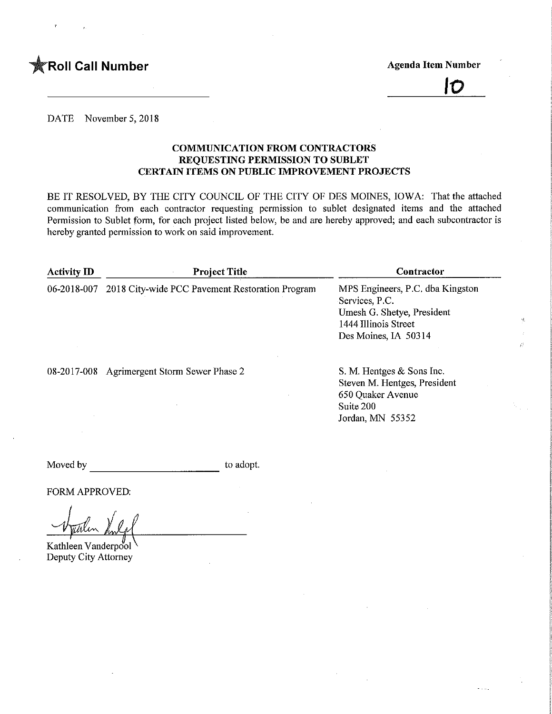

IO

DATE November 5, 2018

#### COMMUNICATION FROM CONTRACTORS REQUESTING PERMISSION TO SUBLET CERTAIN ITEMS ON PUBLIC IMPROVEMENT PROJECTS

BE IT RESOLVED, BY THE CITY COUNCIL OF THE CITY OF DES MOINES, IOWA: That the attached communication from each contractor requesting permission to sublet designated items and the attached Permission to Sublet form, for each project listed below, be and are hereby approved; and each subcontractor is hereby granted permission to work on said improvement.

| <b>Activity ID</b> | <b>Project Title</b>                            | Contractor                                                                                                                       |  |  |  |
|--------------------|-------------------------------------------------|----------------------------------------------------------------------------------------------------------------------------------|--|--|--|
| 06-2018-007        | 2018 City-wide PCC Pavement Restoration Program | MPS Engineers, P.C. dba Kingston<br>Services, P.C.<br>Umesh G. Shetye, President<br>1444 Illinois Street<br>Des Moines, IA 50314 |  |  |  |
|                    | 08-2017-008 Agrimergent Storm Sewer Phase 2     | S. M. Hentges & Sons Inc.<br>Steven M. Hentges, President<br>650 Quaker Avenue<br>Suite 200<br>Jordan, MN 55352                  |  |  |  |

Moved by to adopt.

FORM APPROVED;

Kathleen Vanderpool Deputy City Attorney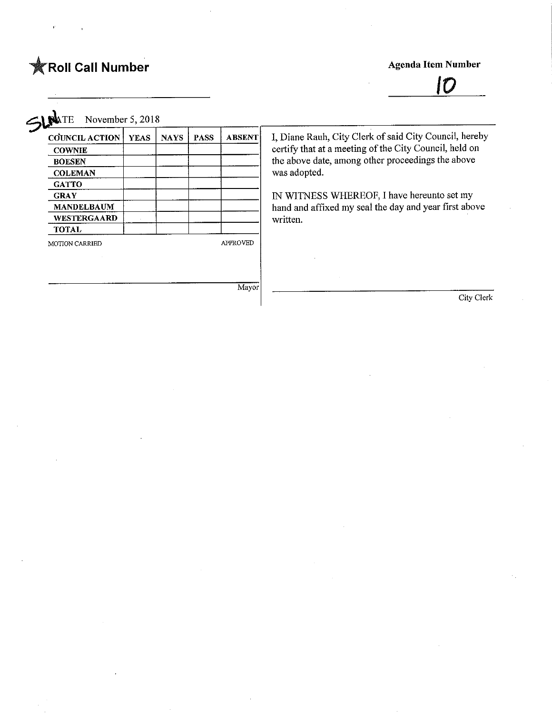# **Example 19 Agenda Item Number** Agenda Item Number Agenda Item Number

SLANTE November 5, 2018

| <b>COUNCIL ACTION</b> | <b>YEAS</b> | <b>NAYS</b> | <b>PASS</b> | <b>ABSENT</b>   | I, Diane Rauh, City Clerk of said City Council, hereby |
|-----------------------|-------------|-------------|-------------|-----------------|--------------------------------------------------------|
| <b>COWNIE</b>         |             |             |             |                 | certify that at a meeting of the City Council, held on |
| <b>BOESEN</b>         |             |             |             |                 | the above date, among other proceedings the above      |
| <b>COLEMAN</b>        |             |             |             |                 | was adopted.                                           |
| <b>GATTO</b>          |             |             |             |                 |                                                        |
| <b>GRAY</b>           |             |             |             |                 | IN WITNESS WHEREOF, I have hereunto set my             |
| <b>MANDELBAUM</b>     |             |             |             |                 | hand and affixed my seal the day and year first above  |
| <b>WESTERGAARD</b>    |             |             |             |                 | written.                                               |
| <b>TOTAL</b>          |             |             |             |                 |                                                        |
| <b>MOTION CARRIED</b> |             |             |             | <b>APPROVED</b> |                                                        |
|                       |             |             |             |                 |                                                        |
|                       |             |             |             |                 |                                                        |
|                       |             |             |             |                 |                                                        |
|                       |             |             |             | Mayor           |                                                        |
|                       |             |             |             |                 | City Clerk                                             |
|                       |             |             |             |                 |                                                        |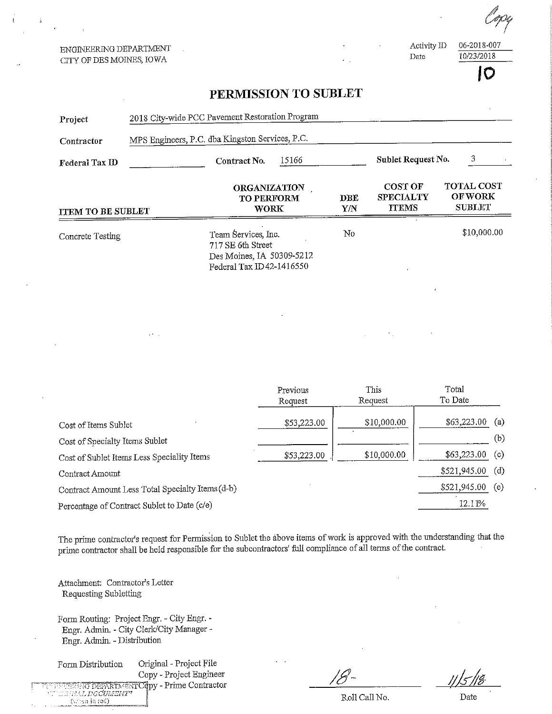ENGINEERING DEPARTMENT CITY OF DES MOINES, IOWA

 $\frac{66-2018}{10020018}$ 

ate  $\frac{10/23/2018}{2}$  $\mathbf C$ 

## PERMISSION TO SUBLET

| Project                                    | 2018 City-wide PCC Pavement Restoration Program  |                                                                                                   |                     |                   |                                                    |                  |                                                      |  |
|--------------------------------------------|--------------------------------------------------|---------------------------------------------------------------------------------------------------|---------------------|-------------------|----------------------------------------------------|------------------|------------------------------------------------------|--|
| Contractor                                 | MPS Engineers, P.C. dba Kingston Services, P.C.  |                                                                                                   |                     |                   |                                                    |                  |                                                      |  |
| Federal Tax ID                             |                                                  | Contract No.                                                                                      | 15166               |                   | Sublet Request No.                                 | 3                |                                                      |  |
| <b>ITEM TO BE SUBLET</b>                   |                                                  | <b>ORGANIZATION</b><br><b>TO PERFORM</b><br><b>WORK</b>                                           |                     | <b>DBE</b><br>Y/N | <b>COST OF</b><br><b>SPECIALTY</b><br><b>ITEMS</b> |                  | <b>TOTAL COST</b><br><b>OF WORK</b><br><b>SUBLET</b> |  |
| Concrete Testing                           |                                                  | Team Services, Inc.<br>717 SE 6th Street<br>Des Moines, IA 50309-5212<br>Federal Tax ID42-1416550 |                     | No                |                                                    | \$10,000.00      |                                                      |  |
|                                            |                                                  |                                                                                                   |                     |                   |                                                    |                  |                                                      |  |
|                                            |                                                  |                                                                                                   | Previous<br>Request |                   | This<br>Request                                    | Total<br>To Date |                                                      |  |
| Cost of Items Sublet                       |                                                  |                                                                                                   | \$53,223.00         |                   | \$10,000.00                                        | \$63,223.00      | (a)                                                  |  |
| Cost of Specialty Items Sublet             |                                                  |                                                                                                   |                     |                   |                                                    |                  | (b)                                                  |  |
| Cost of Sublet Items Less Speciality Items |                                                  |                                                                                                   | \$53,223.00         |                   | \$10,000.00                                        | \$63,223.00      | (c)                                                  |  |
| Contract Amount                            |                                                  |                                                                                                   |                     |                   |                                                    | \$521,945.00     | (d)                                                  |  |
|                                            | Contract Amount Less Total Specialty Items (d-b) |                                                                                                   |                     |                   |                                                    | \$521,945.00     | (e)                                                  |  |
|                                            | Percentage of Contract Sublet to Date (c/e)      |                                                                                                   |                     |                   |                                                    | 12.11%           |                                                      |  |

The prime contractor's request for Permission to Sublet the above items of work is approved with the understanding that the prime contractor shall be held responsible for fhe subcontractors' faU compliance of all terms of die contract.

Attachment; Contractor's Letter Requesting Subletting

Form Routmg: Project Engr. - City Engr. - Engr. Admin. - City Clerk/City Manager -Engr. Admin. - Distribution

Form Distribution Original - Project File Copy - Project Engineer ISUENIO DEPARTMENT Copy - Prime Contractor<br>''*.:::::MAL DOCUMENT''*  $(*: : \text{in real})$ 

Roll Call No.

Date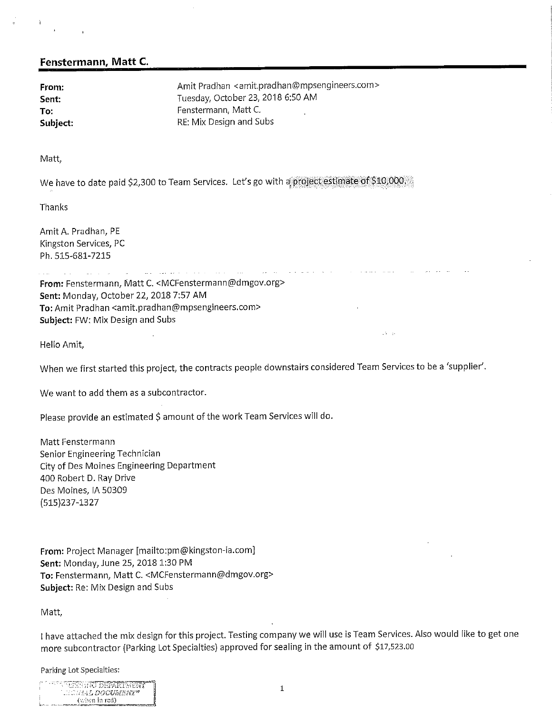#### Fenstermann, Matt C.

From: example and the Amit Pradhan <amit.pradhan@mpsengineers.com> Sent: Sent: Tuesday, October 23, 2018 6:50 AM To: The Fenstermann, Matt C. **Subject:** RE: Mix Design and Subs

Matt,

We have to date paid \$2,300 to Team Services. Let's go with a project estimate of \$10,000.

Thanks

Amit A. Pradhan, PE Kingston Services, PC Ph. 515-681-7215

 $\mathcal{L}^{\text{max}}$ 

From: Fenstermann, Matt C. <MCFenstermann@dmgov.org> Sent: Monday, October 22, 2018 7:57 AM To: Amit Pradhan <amit.pradhan@mpsengineers.com> Subject: FW: Mix Design and Subs

and the management of the state of

Hello Amit,

When we first started this project, the contracts people downstairs considered Team Services to be a 'supplier'.

 $\sqrt{3} = 35$ 

We want to add them as a subcontractor.

Please provide an estimated \$ amount of the work Team Services will do.

Matt Fenstermann Senior Engineering Technician City of Des Moines Engineering Department 400 Robert D. Ray Drive Des Moines, IA 50309 (515}237-1327

From: Project Manager [mailto:pm@kingston-ia.com] Sent: Monday, June 25, 2018 1:30 PM To: Fenstermann, Matt C. <MCFenstermann@dmgov.org> Subject: Re: Mix Design and Subs

Matt,

! have attached the mix design for this project. Testing company we will use is Team Services. Also would like to get one more subcontractor (Parking Lot Specialties) approved for sealing in the amount of \$17,523.00

Parking Lot Specialties;

| ITIS BEENDAD DRPARTMENT |  |
|-------------------------|--|
| NGC TAALI DALEMMAN NG   |  |
| (when in red)           |  |
|                         |  |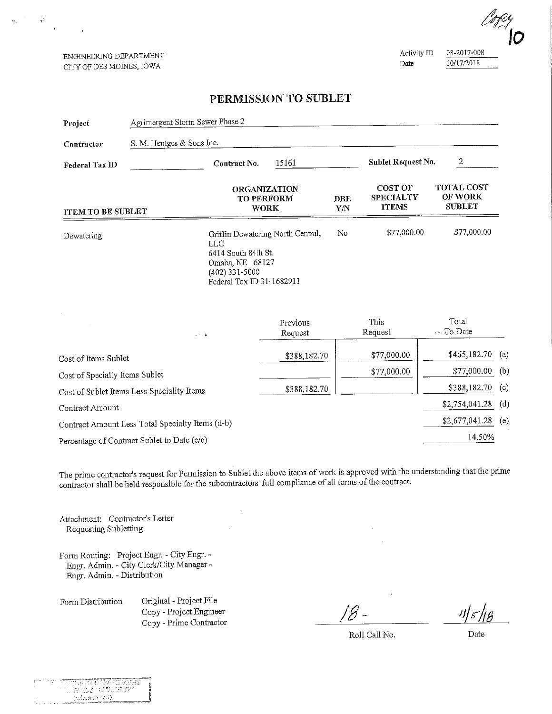ENGINEERING DEPARTMENT CITY OF DES MOINES, IOWA

 $\mathcal{C}$ 

 $\ddot{\phantom{a}}$ 

 $\mathcal{R}$ 

Activity ID  $\frac{08-2017-008}{10/17/2018}$ <u>de 10/2018 - 10/2018 - 10/2018</u>

### PERMISSION TO SUBLET

| Project                                    | Agrimergent Storm Sewer Phase 2 |                                                                                                                                     |                     |                                       |                                                                                                            |                          |     |
|--------------------------------------------|---------------------------------|-------------------------------------------------------------------------------------------------------------------------------------|---------------------|---------------------------------------|------------------------------------------------------------------------------------------------------------|--------------------------|-----|
| Contractor                                 | S. M. Hentges & Sons Inc.       |                                                                                                                                     |                     |                                       |                                                                                                            |                          |     |
| <b>Federal Tax ID</b>                      |                                 | 15161<br>Contract No.                                                                                                               |                     |                                       | $\boldsymbol{2}$<br>Sublet Request No.                                                                     |                          |     |
| ITEM TO BE SUBLET                          |                                 | <b>ORGANIZATION</b><br><b>TO PERFORM</b><br><b>WORK</b>                                                                             |                     | <b>DBE</b><br>$\mathbf{Y}/\mathbf{N}$ | <b>TOTAL COST</b><br><b>COST OF</b><br><b>OF WORK</b><br><b>SPECIALTY</b><br><b>SUBLET</b><br><b>ITEMS</b> |                          |     |
| Dewatering                                 |                                 | Griffin Dewatering North Central,<br>LLC<br>6414 South 84th St.<br>Omaha, NE 68127<br>$(402)$ 331-5000<br>Federal Tax ID 31-1682911 |                     | No                                    | \$77,000.00<br>\$77,000.00                                                                                 |                          |     |
|                                            | Liki i B                        |                                                                                                                                     | Previous<br>Request |                                       | This<br>Request                                                                                            | Total<br>$\cdot$ To Date |     |
| Cost of Items Sublet                       |                                 |                                                                                                                                     | \$388,182.70        |                                       | \$77,000.00                                                                                                | \$465,182.70             | (a) |
| Cost of Specialty Items Sublet             |                                 |                                                                                                                                     |                     |                                       | \$77,000.00                                                                                                | \$77,000.00              | (b) |
| Cost of Sublet Items Less Speciality Items |                                 |                                                                                                                                     | \$388,182.70        |                                       |                                                                                                            | \$388,182.70             | (c) |
| Contract Amount                            |                                 |                                                                                                                                     |                     |                                       |                                                                                                            | \$2,754,041.28           | (d) |

Contract Amount Less Total Specialty Items (d-b)

Percentage of Contract Sublet to Date (c/e)

The prime contractor's request for Permission to Sublet the above items of work is approved with the understanding that the prime contractor shall be held responsible for the subcontractors' full compliance of all terms of the contract.

Attachment: Contractor's Letter Requesting Subletting

Form Routing: Project Engr. - City Engr. - Engr. Admin. - City Clerk/City Manager - Engr. Admin. - Distribution

Form Distribution Original - Project File Copy - Project Engineer Copy - Prime Contractor

जनगर

an

 $70024$ 

autraen

 $(x\&c{n}$  in  $z\phi$ )

 $\frac{11}{5}$ 

Roll Call No.

\$2,677,041.28

14.50%

 $(e)$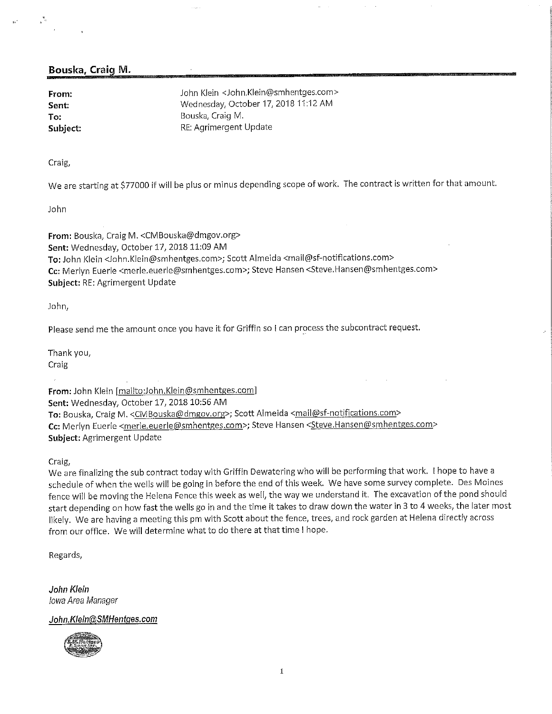#### Bouska, Craig M.

From: John Klein <John,Klein@smhentges.com> Sent: Wednesday, October 17, 2018 11:12 AM To: To: Example of the Bouska, Craig M.<br>
Subject: Example of the RE: Agrimergent RE: Agrimergent Update

Craig/

We are starting at \$77000 if will be plus or minus depending scope of work. The contract is written for that amount.

John

From: Bouska, Craig M. <CMBouska@dmgov.org> Sent: Wednesday, October 17, 2018 11:09 AM To: John Klein <John.Klein@smhentges.com>; Scott Almeida <mail@sf-notifications.com> Cc: Merlyn Euerle <merle.euerle@smhentges.com>; Steve Hansen <Steve.Hansen@smhentges.com> Subject: RE: Agrimergent Update

John,

Please send me the amount once you have it for Griffin so I can process the subcontract request.

Thank you,

Craig

From: John Klein [mailto:John.Klein@smhentges.com] Sent: Wednesday, October 17, 2018 10:56 AM To: Bouska, Craig M. <CMBouska@dmgov.org>; Scott Almeida <mail@sf-notifications.com> Cc: Merlyn Euerle <merle.euerle@smhentges.com>; Steve Hansen <Steve.Hansen@smhentges.com> Subject: Agrimergent Update

Craig/

We are finalizing the sub contract today with Griffin Dewatering who will be performing that work. ! hope to have a schedule of when the wells will be going in before the end of this week. We have some survey complete. Des Moines fence will be moving the Helena Fence this week as well, the way we understand it. The excavation of the pond should start depending on how fast the wells go in and the time it takes to draw down the water in 3 to 4 weeks, the later most likely. We are having a meeting this pm with Scott about the fence, trees, and rock garden at Helena directly across from our office. We will determine what to do there at that time i hope.

Regards,

John Klein Iowa Area Manager

#### John. Klein@SMHentges.com